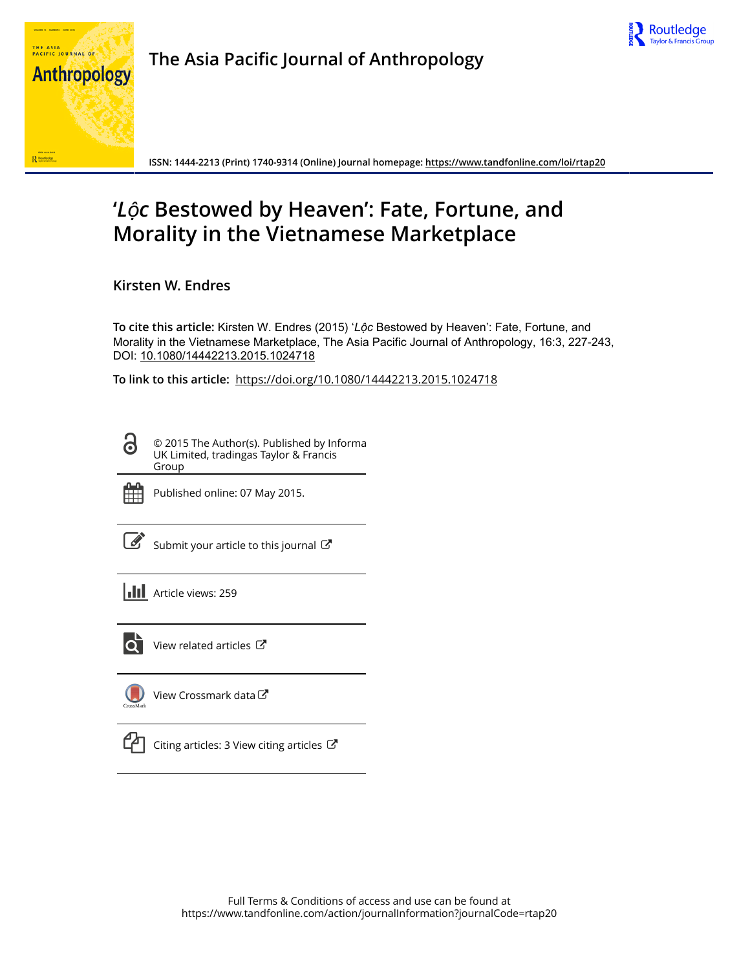



**The Asia Pacific Journal of Anthropology**

**ISSN: 1444-2213 (Print) 1740-9314 (Online) Journal homepage:<https://www.tandfonline.com/loi/rtap20>**

## **'***Lộc* **Bestowed by Heaven': Fate, Fortune, and Morality in the Vietnamese Marketplace**

**Kirsten W. Endres**

**To cite this article:** Kirsten W. Endres (2015) '*Lộc* Bestowed by Heaven': Fate, Fortune, and Morality in the Vietnamese Marketplace, The Asia Pacific Journal of Anthropology, 16:3, 227-243, DOI: [10.1080/14442213.2015.1024718](https://www.tandfonline.com/action/showCitFormats?doi=10.1080/14442213.2015.1024718)

**To link to this article:** <https://doi.org/10.1080/14442213.2015.1024718>

© 2015 The Author(s). Published by Informa UK Limited, tradingas Taylor & Francis Group



ര

Published online: 07 May 2015.

[Submit your article to this journal](https://www.tandfonline.com/action/authorSubmission?journalCode=rtap20&show=instructions)  $\mathbb{Z}$ 

**Article views: 259** 



 $\overline{Q}$  [View related articles](https://www.tandfonline.com/doi/mlt/10.1080/14442213.2015.1024718)  $\overline{C}$ 

[View Crossmark data](http://crossmark.crossref.org/dialog/?doi=10.1080/14442213.2015.1024718&domain=pdf&date_stamp=2015-05-07)



 $\Box$  [Citing articles: 3 View citing articles](https://www.tandfonline.com/doi/citedby/10.1080/14442213.2015.1024718#tabModule)  $\Box$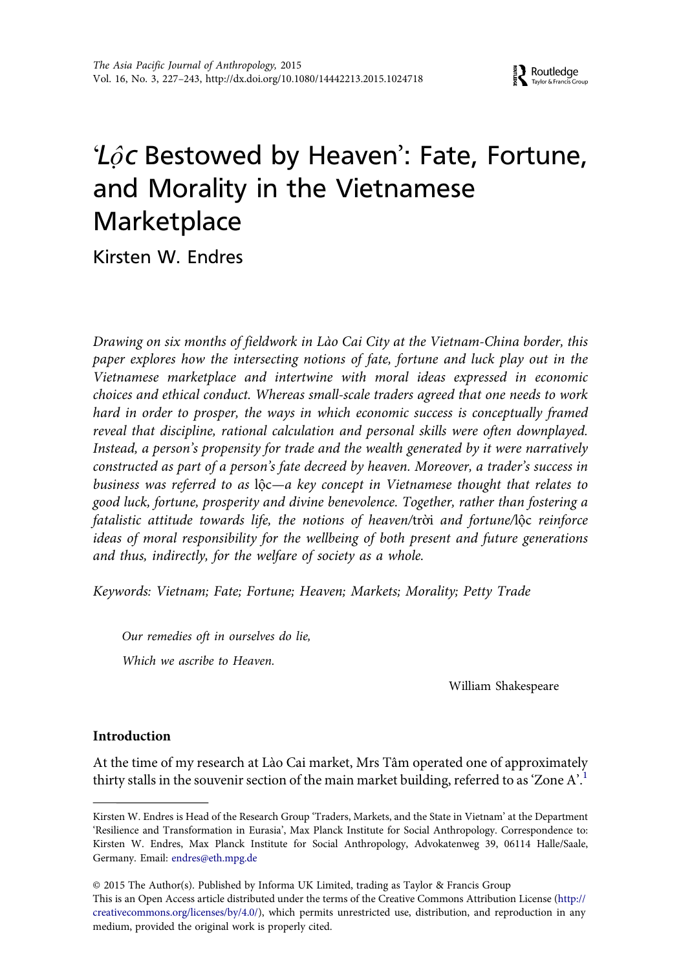**A** Routledge

# ' $\angle$  $\hat{\rho}$ c Bestowed by Heaven': Fate, Fortune, and Morality in the Vietnamese **Marketplace**

Kirsten W. Endres

Drawing on six months of fieldwork in Lào Cai City at the Vietnam-China border, this paper explores how the intersecting notions of fate, fortune and luck play out in the Vietnamese marketplace and intertwine with moral ideas expressed in economic choices and ethical conduct. Whereas small-scale traders agreed that one needs to work hard in order to prosper, the ways in which economic success is conceptually framed reveal that discipline, rational calculation and personal skills were often downplayed. Instead, a person's propensity for trade and the wealth generated by it were narratively constructed as part of a person's fate decreed by heaven. Moreover, a trader's success in business was referred to as lộc—a key concept in Vietnamese thought that relates to good luck, fortune, prosperity and divine benevolence. Together, rather than fostering a fatalistic attitude towards life, the notions of heaven/trời and fortune/lộc reinforce ideas of moral responsibility for the wellbeing of both present and future generations and thus, indirectly, for the welfare of society as a whole.

Keywords: Vietnam; Fate; Fortune; Heaven; Markets; Morality; Petty Trade

Our remedies oft in ourselves do lie, Which we ascribe to Heaven.

medium, provided the original work is properly cited.

William Shakespeare

## Introduction

At the time of my research at Lào Cai market, Mrs Tâm operated one of approximately thirty stalls in the souvenir section of the main market building, referred to as 'Zone A'.<sup>[1](#page-15-0)</sup>

Kirsten W. Endres is Head of the Research Group 'Traders, Markets, and the State in Vietnam' at the Department 'Resilience and Transformation in Eurasia', Max Planck Institute for Social Anthropology. Correspondence to: Kirsten W. Endres, Max Planck Institute for Social Anthropology, Advokatenweg 39, 06114 Halle/Saale, Germany. Email: [endres@eth.mpg.de](mailto:endres@eth.mpg.de)

<sup>© 2015</sup> The Author(s). Published by Informa UK Limited, trading as Taylor & Francis Group This is an Open Access article distributed under the terms of the Creative Commons Attribution License (http:// creativecommons.org/licenses/by/4.0/), which permits unrestricted use, distribution, and reproduction in any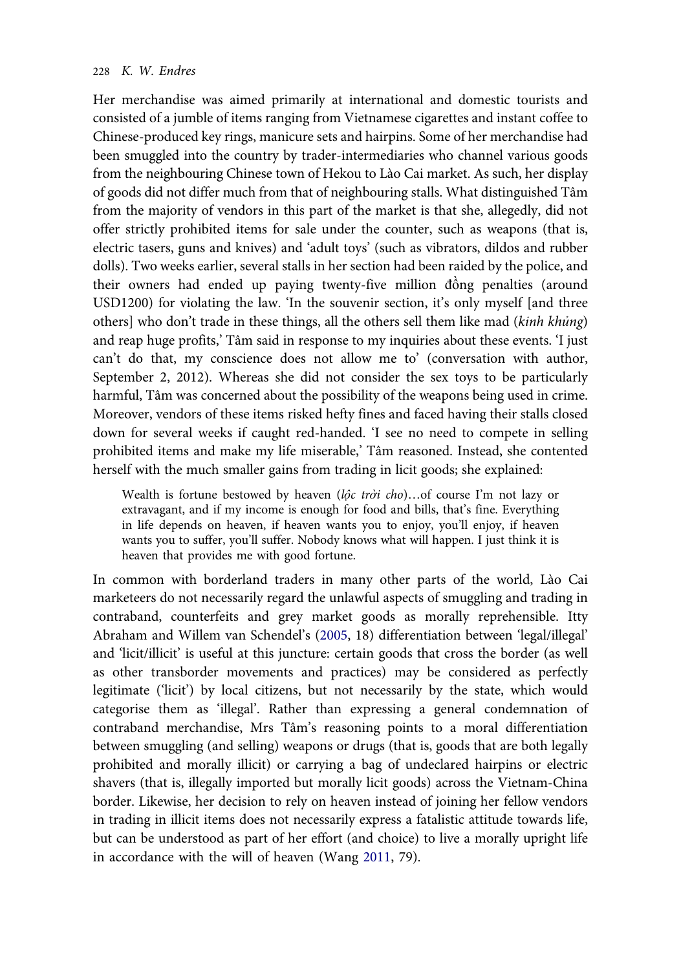Her merchandise was aimed primarily at international and domestic tourists and consisted of a jumble of items ranging from Vietnamese cigarettes and instant coffee to Chinese-produced key rings, manicure sets and hairpins. Some of her merchandise had been smuggled into the country by trader-intermediaries who channel various goods from the neighbouring Chinese town of Hekou to Lào Cai market. As such, her display of goods did not differ much from that of neighbouring stalls. What distinguished Tâm from the majority of vendors in this part of the market is that she, allegedly, did not offer strictly prohibited items for sale under the counter, such as weapons (that is, electric tasers, guns and knives) and 'adult toys' (such as vibrators, dildos and rubber dolls). Two weeks earlier, several stalls in her section had been raided by the police, and their owners had ended up paying twenty-five million đồng penalties (around USD1200) for violating the law. 'In the souvenir section, it's only myself [and three others] who don't trade in these things, all the others sell them like mad (kinh khủng) and reap huge profits,' Tâm said in response to my inquiries about these events. 'I just can't do that, my conscience does not allow me to' (conversation with author, September 2, 2012). Whereas she did not consider the sex toys to be particularly harmful, Tâm was concerned about the possibility of the weapons being used in crime. Moreover, vendors of these items risked hefty fines and faced having their stalls closed down for several weeks if caught red-handed. 'I see no need to compete in selling prohibited items and make my life miserable,' Tâm reasoned. Instead, she contented herself with the much smaller gains from trading in licit goods; she explained:

Wealth is fortune bestowed by heaven (lôc trời cho)...of course I'm not lazy or extravagant, and if my income is enough for food and bills, that's fine. Everything in life depends on heaven, if heaven wants you to enjoy, you'll enjoy, if heaven wants you to suffer, you'll suffer. Nobody knows what will happen. I just think it is heaven that provides me with good fortune.

In common with borderland traders in many other parts of the world, Lào Cai marketeers do not necessarily regard the unlawful aspects of smuggling and trading in contraband, counterfeits and grey market goods as morally reprehensible. Itty Abraham and Willem van Schendel's ([2005,](#page-16-0) 18) differentiation between 'legal/illegal' and 'licit/illicit' is useful at this juncture: certain goods that cross the border (as well as other transborder movements and practices) may be considered as perfectly legitimate ('licit') by local citizens, but not necessarily by the state, which would categorise them as 'illegal'. Rather than expressing a general condemnation of contraband merchandise, Mrs Tâm's reasoning points to a moral differentiation between smuggling (and selling) weapons or drugs (that is, goods that are both legally prohibited and morally illicit) or carrying a bag of undeclared hairpins or electric shavers (that is, illegally imported but morally licit goods) across the Vietnam-China border. Likewise, her decision to rely on heaven instead of joining her fellow vendors in trading in illicit items does not necessarily express a fatalistic attitude towards life, but can be understood as part of her effort (and choice) to live a morally upright life in accordance with the will of heaven (Wang [2011](#page-17-0), 79).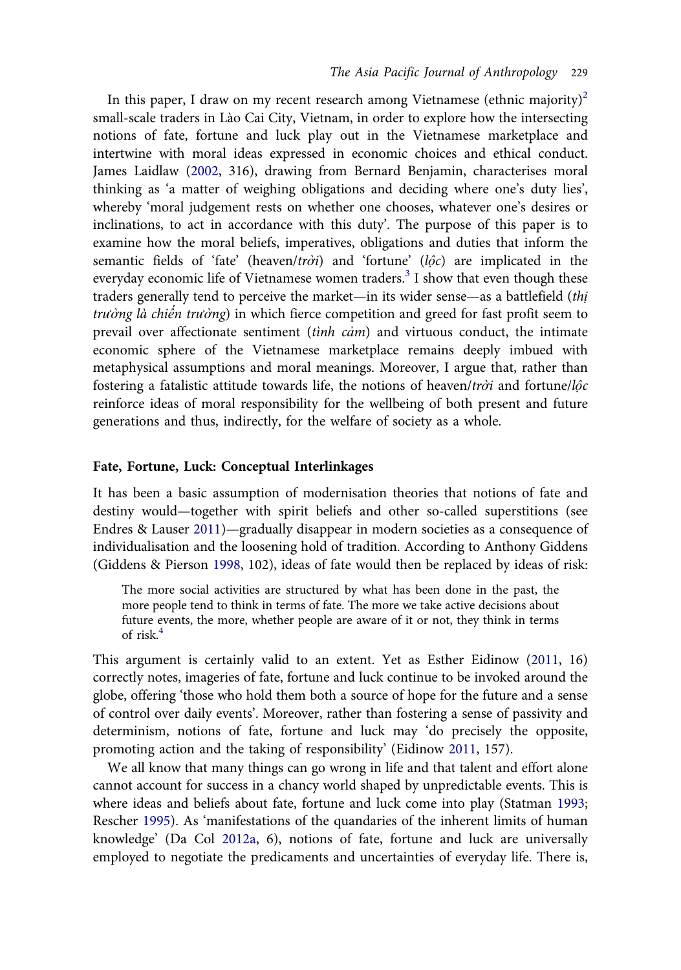In this paper, I draw on my recent research among Vietnamese (ethnic majority)<sup>2</sup> small-scale traders in Lào Cai City, Vietnam, in order to explore how the intersecting notions of fate, fortune and luck play out in the Vietnamese marketplace and intertwine with moral ideas expressed in economic choices and ethical conduct. James Laidlaw [\(2002](#page-17-0), 316), drawing from Bernard Benjamin, characterises moral thinking as 'a matter of weighing obligations and deciding where one's duty lies', whereby 'moral judgement rests on whether one chooses, whatever one's desires or inclinations, to act in accordance with this duty'. The purpose of this paper is to examine how the moral beliefs, imperatives, obligations and duties that inform the semantic fields of 'fate' (heaven/trời) and 'fortune' ( $l\hat{o}c$ ) are implicated in the everyday economic life of Vietnamese women traders.<sup>[3](#page-16-0)</sup> I show that even though these traders generally tend to perceive the market—in its wider sense—as a battlefield (thi trường là chiến trường) in which fierce competition and greed for fast profit seem to prevail over affectionate sentiment (tinh  $c$ ám) and virtuous conduct, the intimate economic sphere of the Vietnamese marketplace remains deeply imbued with metaphysical assumptions and moral meanings. Moreover, I argue that, rather than fostering a fatalistic attitude towards life, the notions of heaven/trời and fortune/lộc reinforce ideas of moral responsibility for the wellbeing of both present and future generations and thus, indirectly, for the welfare of society as a whole.

#### Fate, Fortune, Luck: Conceptual Interlinkages

It has been a basic assumption of modernisation theories that notions of fate and destiny would—together with spirit beliefs and other so-called superstitions (see Endres & Lauser [2011](#page-16-0))—gradually disappear in modern societies as a consequence of individualisation and the loosening hold of tradition. According to Anthony Giddens (Giddens & Pierson [1998](#page-17-0), 102), ideas of fate would then be replaced by ideas of risk:

The more social activities are structured by what has been done in the past, the more people tend to think in terms of fate. The more we take active decisions about future events, the more, whether people are aware of it or not, they think in terms of risk. $4$ 

This argument is certainly valid to an extent. Yet as Esther Eidinow ([2011,](#page-16-0) 16) correctly notes, imageries of fate, fortune and luck continue to be invoked around the globe, offering 'those who hold them both a source of hope for the future and a sense of control over daily events'. Moreover, rather than fostering a sense of passivity and determinism, notions of fate, fortune and luck may 'do precisely the opposite, promoting action and the taking of responsibility' (Eidinow [2011](#page-16-0), 157).

We all know that many things can go wrong in life and that talent and effort alone cannot account for success in a chancy world shaped by unpredictable events. This is where ideas and beliefs about fate, fortune and luck come into play (Statman [1993;](#page-17-0) Rescher [1995](#page-17-0)). As 'manifestations of the quandaries of the inherent limits of human knowledge' (Da Col [2012a](#page-16-0), 6), notions of fate, fortune and luck are universally employed to negotiate the predicaments and uncertainties of everyday life. There is,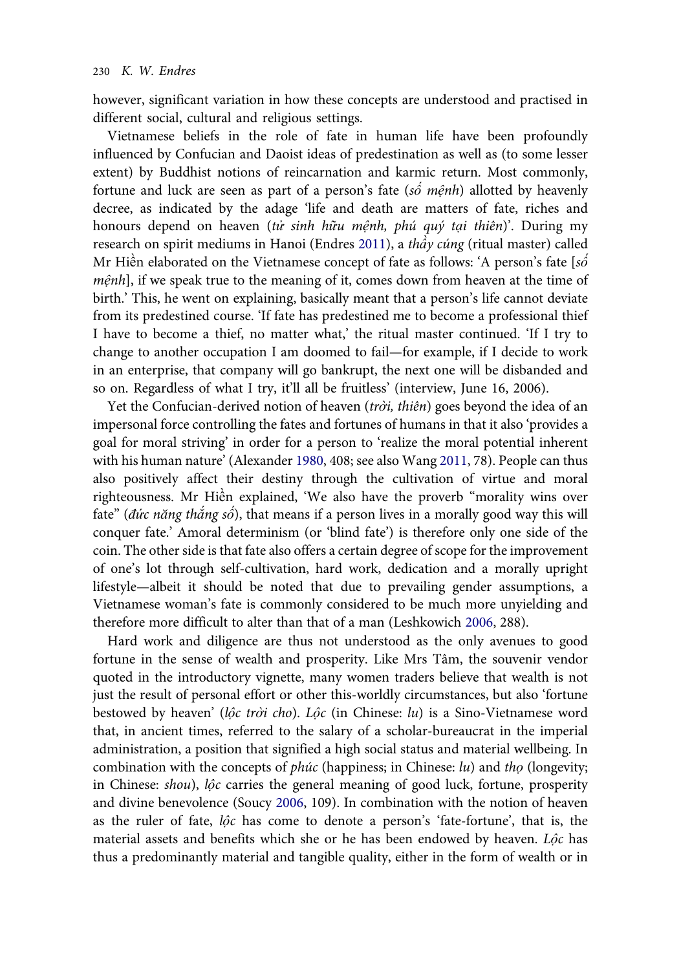however, significant variation in how these concepts are understood and practised in different social, cultural and religious settings.

Vietnamese beliefs in the role of fate in human life have been profoundly influenced by Confucian and Daoist ideas of predestination as well as (to some lesser extent) by Buddhist notions of reincarnation and karmic return. Most commonly, fortune and luck are seen as part of a person's fate (số mệnh) allotted by heavenly decree, as indicated by the adage 'life and death are matters of fate, riches and honours depend on heaven (tử sinh hữu mệnh, phú quý tại thiên)'. During my research on spirit mediums in Hanoi (Endres [2011\)](#page-16-0), a thầy cúng (ritual master) called Mr Hiền elaborated on the Vietnamese concept of fate as follows: 'A person's fate [ $s\acute{o}$ mệnh], if we speak true to the meaning of it, comes down from heaven at the time of birth.' This, he went on explaining, basically meant that a person's life cannot deviate from its predestined course. 'If fate has predestined me to become a professional thief I have to become a thief, no matter what,' the ritual master continued. 'If I try to change to another occupation I am doomed to fail—for example, if I decide to work in an enterprise, that company will go bankrupt, the next one will be disbanded and so on. Regardless of what I try, it'll all be fruitless' (interview, June 16, 2006).

Yet the Confucian-derived notion of heaven (trời, thiên) goes beyond the idea of an impersonal force controlling the fates and fortunes of humans in that it also 'provides a goal for moral striving' in order for a person to 'realize the moral potential inherent with his human nature' (Alexander [1980](#page-16-0), 408; see also Wang [2011,](#page-17-0) 78). People can thus also positively affect their destiny through the cultivation of virtue and moral righteousness. Mr Hiền explained, 'We also have the proverb "morality wins over fate" (đức năng thắng số), that means if a person lives in a morally good way this will conquer fate.' Amoral determinism (or 'blind fate') is therefore only one side of the coin. The other side is that fate also offers a certain degree of scope for the improvement of one's lot through self-cultivation, hard work, dedication and a morally upright lifestyle—albeit it should be noted that due to prevailing gender assumptions, a Vietnamese woman's fate is commonly considered to be much more unyielding and therefore more difficult to alter than that of a man (Leshkowich [2006](#page-17-0), 288).

Hard work and diligence are thus not understood as the only avenues to good fortune in the sense of wealth and prosperity. Like Mrs Tâm, the souvenir vendor quoted in the introductory vignette, many women traders believe that wealth is not just the result of personal effort or other this-worldly circumstances, but also 'fortune bestowed by heaven' (lộc trời cho). Lộc (in Chinese: lu) is a Sino-Vietnamese word that, in ancient times, referred to the salary of a scholar-bureaucrat in the imperial administration, a position that signified a high social status and material wellbeing. In combination with the concepts of *phúc* (happiness; in Chinese: lu) and tho (longevity; in Chinese: shou), lộc carries the general meaning of good luck, fortune, prosperity and divine benevolence (Soucy [2006,](#page-17-0) 109). In combination with the notion of heaven as the ruler of fate, lộc has come to denote a person's 'fate-fortune', that is, the material assets and benefits which she or he has been endowed by heaven. Lộc has thus a predominantly material and tangible quality, either in the form of wealth or in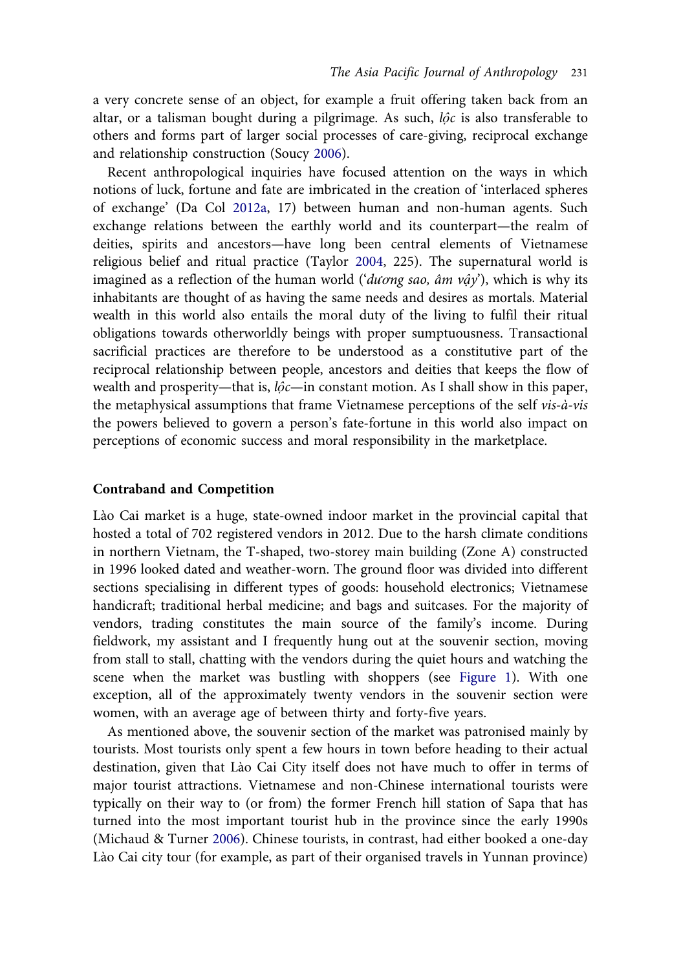a very concrete sense of an object, for example a fruit offering taken back from an altar, or a talisman bought during a pilgrimage. As such,  $l\hat{\varphi}c$  is also transferable to others and forms part of larger social processes of care-giving, reciprocal exchange and relationship construction (Soucy [2006\)](#page-17-0).

Recent anthropological inquiries have focused attention on the ways in which notions of luck, fortune and fate are imbricated in the creation of 'interlaced spheres of exchange' (Da Col [2012a](#page-16-0), 17) between human and non-human agents. Such exchange relations between the earthly world and its counterpart—the realm of deities, spirits and ancestors—have long been central elements of Vietnamese religious belief and ritual practice (Taylor [2004,](#page-17-0) 225). The supernatural world is imagined as a reflection of the human world ('dương sao, âm vậy'), which is why its inhabitants are thought of as having the same needs and desires as mortals. Material wealth in this world also entails the moral duty of the living to fulfil their ritual obligations towards otherworldly beings with proper sumptuousness. Transactional sacrificial practices are therefore to be understood as a constitutive part of the reciprocal relationship between people, ancestors and deities that keeps the flow of wealth and prosperity—that is,  $l\hat{\varphi}c$ —in constant motion. As I shall show in this paper, the metaphysical assumptions that frame Vietnamese perceptions of the self  $vis-\dot{a}-vis$ the powers believed to govern a person's fate-fortune in this world also impact on perceptions of economic success and moral responsibility in the marketplace.

## Contraband and Competition

Lào Cai market is a huge, state-owned indoor market in the provincial capital that hosted a total of 702 registered vendors in 2012. Due to the harsh climate conditions in northern Vietnam, the T-shaped, two-storey main building (Zone A) constructed in 1996 looked dated and weather-worn. The ground floor was divided into different sections specialising in different types of goods: household electronics; Vietnamese handicraft; traditional herbal medicine; and bags and suitcases. For the majority of vendors, trading constitutes the main source of the family's income. During fieldwork, my assistant and I frequently hung out at the souvenir section, moving from stall to stall, chatting with the vendors during the quiet hours and watching the scene when the market was bustling with shoppers (see [Figure 1\)](#page-12-0). With one exception, all of the approximately twenty vendors in the souvenir section were women, with an average age of between thirty and forty-five years.

As mentioned above, the souvenir section of the market was patronised mainly by tourists. Most tourists only spent a few hours in town before heading to their actual destination, given that Lào Cai City itself does not have much to offer in terms of major tourist attractions. Vietnamese and non-Chinese international tourists were typically on their way to (or from) the former French hill station of Sapa that has turned into the most important tourist hub in the province since the early 1990s (Michaud & Turner [2006](#page-17-0)). Chinese tourists, in contrast, had either booked a one-day Lào Cai city tour (for example, as part of their organised travels in Yunnan province)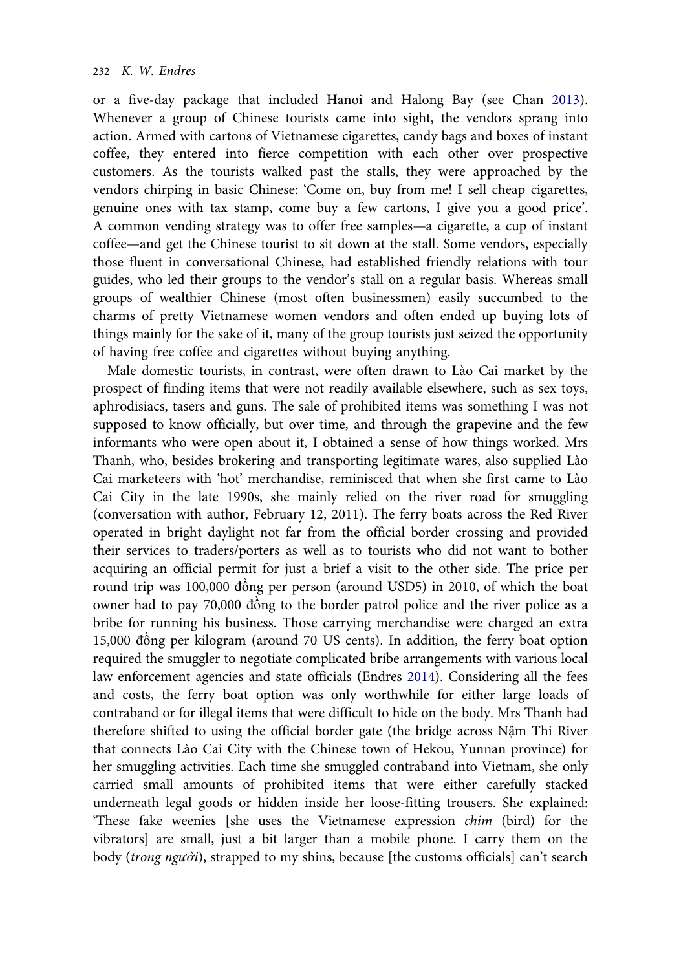or a five-day package that included Hanoi and Halong Bay (see Chan [2013](#page-16-0)). Whenever a group of Chinese tourists came into sight, the vendors sprang into action. Armed with cartons of Vietnamese cigarettes, candy bags and boxes of instant coffee, they entered into fierce competition with each other over prospective customers. As the tourists walked past the stalls, they were approached by the vendors chirping in basic Chinese: 'Come on, buy from me! I sell cheap cigarettes, genuine ones with tax stamp, come buy a few cartons, I give you a good price'. A common vending strategy was to offer free samples—a cigarette, a cup of instant coffee—and get the Chinese tourist to sit down at the stall. Some vendors, especially those fluent in conversational Chinese, had established friendly relations with tour guides, who led their groups to the vendor's stall on a regular basis. Whereas small groups of wealthier Chinese (most often businessmen) easily succumbed to the charms of pretty Vietnamese women vendors and often ended up buying lots of things mainly for the sake of it, many of the group tourists just seized the opportunity of having free coffee and cigarettes without buying anything.

Male domestic tourists, in contrast, were often drawn to Lào Cai market by the prospect of finding items that were not readily available elsewhere, such as sex toys, aphrodisiacs, tasers and guns. The sale of prohibited items was something I was not supposed to know officially, but over time, and through the grapevine and the few informants who were open about it, I obtained a sense of how things worked. Mrs Thanh, who, besides brokering and transporting legitimate wares, also supplied Lào Cai marketeers with 'hot' merchandise, reminisced that when she first came to Lào Cai City in the late 1990s, she mainly relied on the river road for smuggling (conversation with author, February 12, 2011). The ferry boats across the Red River operated in bright daylight not far from the official border crossing and provided their services to traders/porters as well as to tourists who did not want to bother acquiring an official permit for just a brief a visit to the other side. The price per round trip was 100,000 đồng per person (around USD5) in 2010, of which the boat owner had to pay 70,000 đồng to the border patrol police and the river police as a bribe for running his business. Those carrying merchandise were charged an extra 15,000 đồng per kilogram (around 70 US cents). In addition, the ferry boat option required the smuggler to negotiate complicated bribe arrangements with various local law enforcement agencies and state officials (Endres [2014](#page-16-0)). Considering all the fees and costs, the ferry boat option was only worthwhile for either large loads of contraband or for illegal items that were difficult to hide on the body. Mrs Thanh had therefore shifted to using the official border gate (the bridge across Nậm Thi River that connects Lào Cai City with the Chinese town of Hekou, Yunnan province) for her smuggling activities. Each time she smuggled contraband into Vietnam, she only carried small amounts of prohibited items that were either carefully stacked underneath legal goods or hidden inside her loose-fitting trousers. She explained: 'These fake weenies [she uses the Vietnamese expression chim (bird) for the vibrators] are small, just a bit larger than a mobile phone. I carry them on the body (trong người), strapped to my shins, because [the customs officials] can't search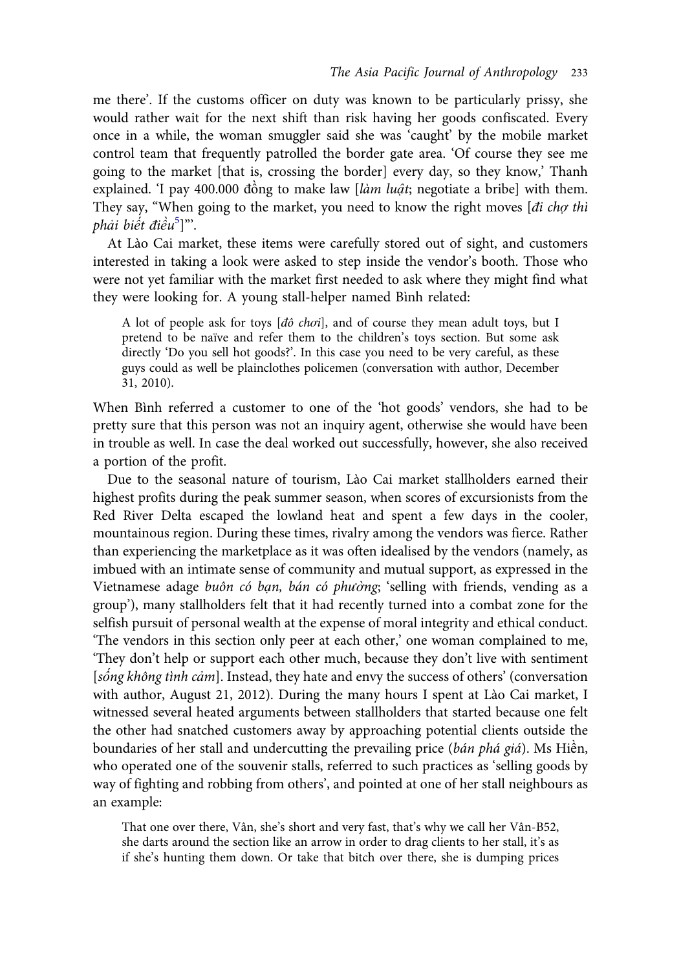me there'. If the customs officer on duty was known to be particularly prissy, she would rather wait for the next shift than risk having her goods confiscated. Every once in a while, the woman smuggler said she was 'caught' by the mobile market control team that frequently patrolled the border gate area. 'Of course they see me going to the market [that is, crossing the border] every day, so they know,' Thanh explained. 'I pay 400.000 đồng to make law [làm luật; negotiate a bribe] with them. They say, "When going to the market, you need to know the right moves [di cho thì phải biết điều<sup>[5](#page-16-0)</sup>]"'.

At Lào Cai market, these items were carefully stored out of sight, and customers interested in taking a look were asked to step inside the vendor's booth. Those who were not yet familiar with the market first needed to ask where they might find what they were looking for. A young stall-helper named Bình related:

A lot of people ask for toys [đô chơi], and of course they mean adult toys, but I pretend to be naïve and refer them to the children's toys section. But some ask directly 'Do you sell hot goods?'. In this case you need to be very careful, as these guys could as well be plainclothes policemen (conversation with author, December 31, 2010).

When Bình referred a customer to one of the 'hot goods' vendors, she had to be pretty sure that this person was not an inquiry agent, otherwise she would have been in trouble as well. In case the deal worked out successfully, however, she also received a portion of the profit.

Due to the seasonal nature of tourism, Lào Cai market stallholders earned their highest profits during the peak summer season, when scores of excursionists from the Red River Delta escaped the lowland heat and spent a few days in the cooler, mountainous region. During these times, rivalry among the vendors was fierce. Rather than experiencing the marketplace as it was often idealised by the vendors (namely, as imbued with an intimate sense of community and mutual support, as expressed in the Vietnamese adage buôn có bạn, bán có phường; 'selling with friends, vending as a group'), many stallholders felt that it had recently turned into a combat zone for the selfish pursuit of personal wealth at the expense of moral integrity and ethical conduct. 'The vendors in this section only peer at each other,' one woman complained to me, 'They don't help or support each other much, because they don't live with sentiment [sống không tình cảm]. Instead, they hate and envy the success of others' (conversation with author, August 21, 2012). During the many hours I spent at Lào Cai market, I witnessed several heated arguments between stallholders that started because one felt the other had snatched customers away by approaching potential clients outside the boundaries of her stall and undercutting the prevailing price (bán phá giá). Ms Hiền, who operated one of the souvenir stalls, referred to such practices as 'selling goods by way of fighting and robbing from others', and pointed at one of her stall neighbours as an example:

That one over there, Vân, she's short and very fast, that's why we call her Vân-B52, she darts around the section like an arrow in order to drag clients to her stall, it's as if she's hunting them down. Or take that bitch over there, she is dumping prices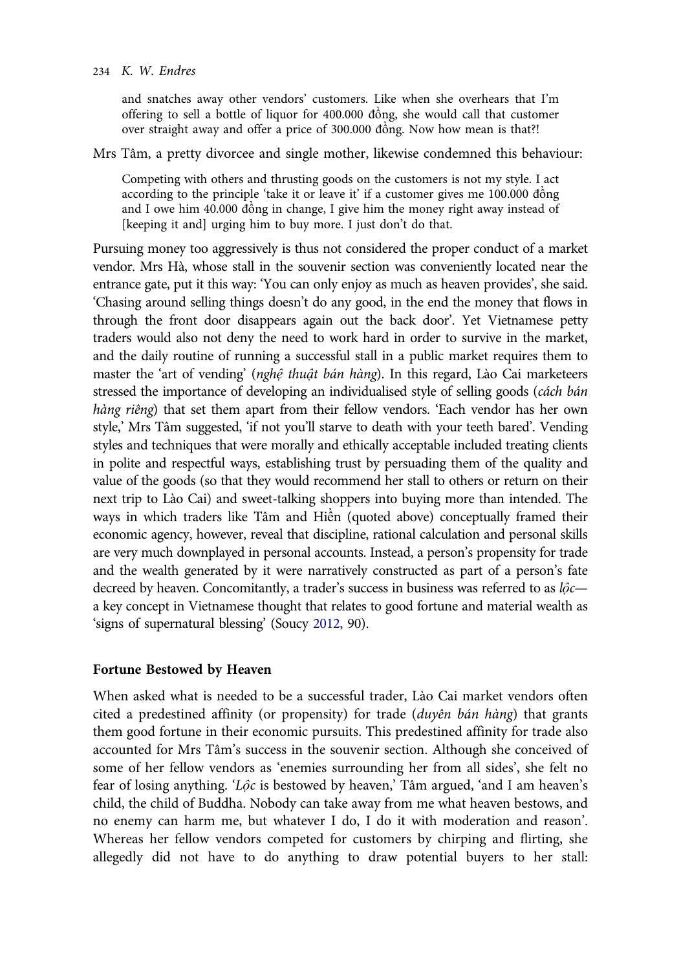and snatches away other vendors' customers. Like when she overhears that I'm offering to sell a bottle of liquor for 400.000 đồng, she would call that customer over straight away and offer a price of 300.000 đồng. Now how mean is that?!

Mrs Tâm, a pretty divorcee and single mother, likewise condemned this behaviour:

Competing with others and thrusting goods on the customers is not my style. I act according to the principle 'take it or leave it' if a customer gives me 100.000 đồng and I owe him 40.000 đồng in change, I give him the money right away instead of [keeping it and] urging him to buy more. I just don't do that.

Pursuing money too aggressively is thus not considered the proper conduct of a market vendor. Mrs Hà, whose stall in the souvenir section was conveniently located near the entrance gate, put it this way: 'You can only enjoy as much as heaven provides', she said. 'Chasing around selling things doesn't do any good, in the end the money that flows in through the front door disappears again out the back door'. Yet Vietnamese petty traders would also not deny the need to work hard in order to survive in the market, and the daily routine of running a successful stall in a public market requires them to master the 'art of vending' (nghệ thuật bán hàng). In this regard, Lào Cai marketeers stressed the importance of developing an individualised style of selling goods (cách bán hàng riêng) that set them apart from their fellow vendors. 'Each vendor has her own style,' Mrs Tâm suggested, 'if not you'll starve to death with your teeth bared'. Vending styles and techniques that were morally and ethically acceptable included treating clients in polite and respectful ways, establishing trust by persuading them of the quality and value of the goods (so that they would recommend her stall to others or return on their next trip to Lào Cai) and sweet-talking shoppers into buying more than intended. The ways in which traders like Tâm and Hiền (quoted above) conceptually framed their economic agency, however, reveal that discipline, rational calculation and personal skills are very much downplayed in personal accounts. Instead, a person's propensity for trade and the wealth generated by it were narratively constructed as part of a person's fate decreed by heaven. Concomitantly, a trader's success in business was referred to as  $l\hat{o}c$ a key concept in Vietnamese thought that relates to good fortune and material wealth as 'signs of supernatural blessing' (Soucy [2012](#page-17-0), 90).

### Fortune Bestowed by Heaven

When asked what is needed to be a successful trader, Lào Cai market vendors often cited a predestined affinity (or propensity) for trade (duyên bán hàng) that grants them good fortune in their economic pursuits. This predestined affinity for trade also accounted for Mrs Tâm's success in the souvenir section. Although she conceived of some of her fellow vendors as 'enemies surrounding her from all sides', she felt no fear of losing anything. ' $L\hat{\rho}c$  is bestowed by heaven,' Tâm argued, 'and I am heaven's child, the child of Buddha. Nobody can take away from me what heaven bestows, and no enemy can harm me, but whatever I do, I do it with moderation and reason'. Whereas her fellow vendors competed for customers by chirping and flirting, she allegedly did not have to do anything to draw potential buyers to her stall: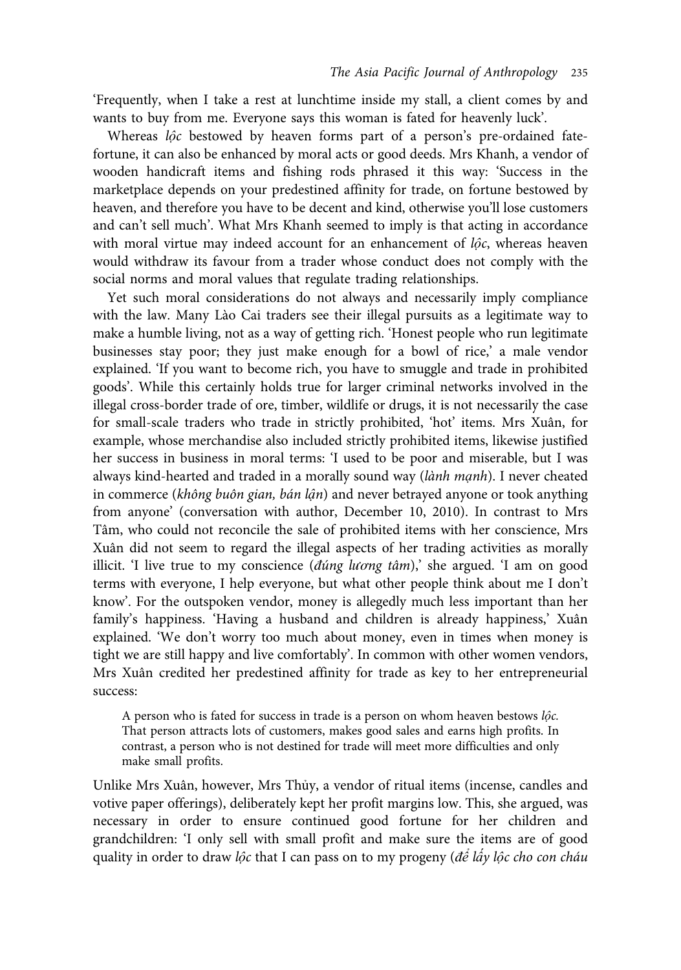'Frequently, when I take a rest at lunchtime inside my stall, a client comes by and wants to buy from me. Everyone says this woman is fated for heavenly luck'.

Whereas lộc bestowed by heaven forms part of a person's pre-ordained fatefortune, it can also be enhanced by moral acts or good deeds. Mrs Khanh, a vendor of wooden handicraft items and fishing rods phrased it this way: 'Success in the marketplace depends on your predestined affinity for trade, on fortune bestowed by heaven, and therefore you have to be decent and kind, otherwise you'll lose customers and can't sell much'. What Mrs Khanh seemed to imply is that acting in accordance with moral virtue may indeed account for an enhancement of  $l\hat{\varphi}c$ , whereas heaven would withdraw its favour from a trader whose conduct does not comply with the social norms and moral values that regulate trading relationships.

Yet such moral considerations do not always and necessarily imply compliance with the law. Many Lào Cai traders see their illegal pursuits as a legitimate way to make a humble living, not as a way of getting rich. 'Honest people who run legitimate businesses stay poor; they just make enough for a bowl of rice,' a male vendor explained. 'If you want to become rich, you have to smuggle and trade in prohibited goods'. While this certainly holds true for larger criminal networks involved in the illegal cross-border trade of ore, timber, wildlife or drugs, it is not necessarily the case for small-scale traders who trade in strictly prohibited, 'hot' items. Mrs Xuân, for example, whose merchandise also included strictly prohibited items, likewise justified her success in business in moral terms: 'I used to be poor and miserable, but I was always kind-hearted and traded in a morally sound way (lành mạnh). I never cheated in commerce (không buôn gian, bán lận) and never betrayed anyone or took anything from anyone' (conversation with author, December 10, 2010). In contrast to Mrs Tâm, who could not reconcile the sale of prohibited items with her conscience, Mrs Xuân did not seem to regard the illegal aspects of her trading activities as morally illicit. 'I live true to my conscience (đúng lương tâm),' she argued. 'I am on good terms with everyone, I help everyone, but what other people think about me I don't know'. For the outspoken vendor, money is allegedly much less important than her family's happiness. 'Having a husband and children is already happiness,' Xuân explained. 'We don't worry too much about money, even in times when money is tight we are still happy and live comfortably'. In common with other women vendors, Mrs Xuân credited her predestined affinity for trade as key to her entrepreneurial success:

A person who is fated for success in trade is a person on whom heaven bestows lộc. That person attracts lots of customers, makes good sales and earns high profits. In contrast, a person who is not destined for trade will meet more difficulties and only make small profits.

Unlike Mrs Xuân, however, Mrs Thủy, a vendor of ritual items (incense, candles and votive paper offerings), deliberately kept her profit margins low. This, she argued, was necessary in order to ensure continued good fortune for her children and grandchildren: 'I only sell with small profit and make sure the items are of good quality in order to draw lộc that I can pass on to my progeny (để lấy lộc cho con cháu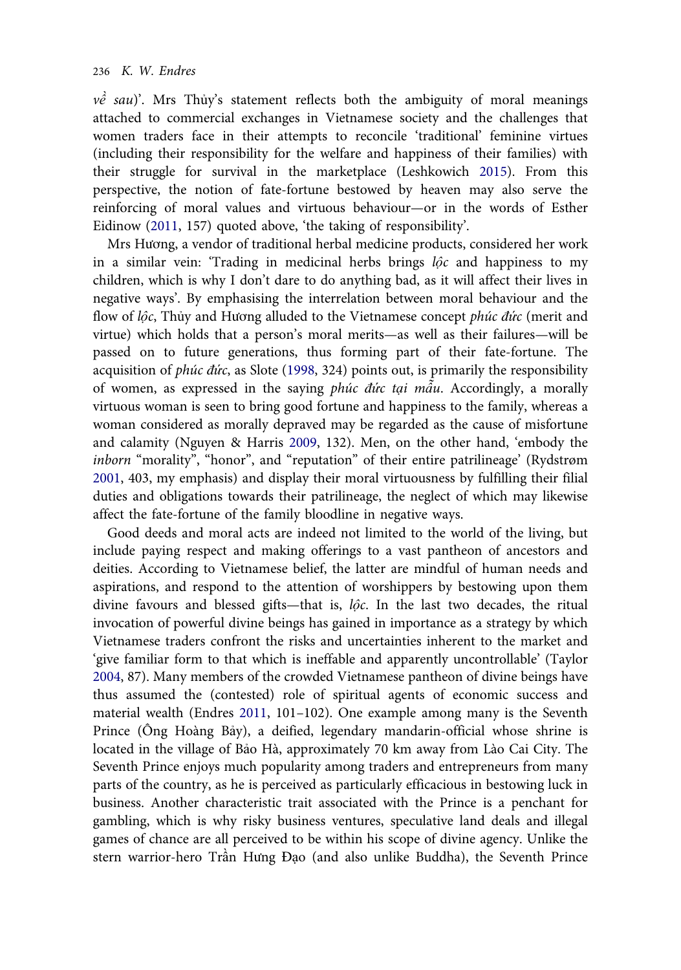$v\hat{e}$  sau)'. Mrs Thủy's statement reflects both the ambiguity of moral meanings attached to commercial exchanges in Vietnamese society and the challenges that women traders face in their attempts to reconcile 'traditional' feminine virtues (including their responsibility for the welfare and happiness of their families) with their struggle for survival in the marketplace (Leshkowich [2015](#page-17-0)). From this perspective, the notion of fate-fortune bestowed by heaven may also serve the reinforcing of moral values and virtuous behaviour—or in the words of Esther Eidinow [\(2011](#page-16-0), 157) quoted above, 'the taking of responsibility'.

Mrs Hương, a vendor of traditional herbal medicine products, considered her work in a similar vein: 'Trading in medicinal herbs brings lộc and happiness to my children, which is why I don't dare to do anything bad, as it will affect their lives in negative ways'. By emphasising the interrelation between moral behaviour and the flow of lộc, Thủy and Hương alluded to the Vietnamese concept phúc đức (merit and virtue) which holds that a person's moral merits—as well as their failures—will be passed on to future generations, thus forming part of their fate-fortune. The acquisition of *phúc đức*, as Slote ([1998,](#page-17-0) 324) points out, is primarily the responsibility of women, as expressed in the saying phúc đức tại  $m\tilde{a}u$ . Accordingly, a morally virtuous woman is seen to bring good fortune and happiness to the family, whereas a woman considered as morally depraved may be regarded as the cause of misfortune and calamity (Nguyen & Harris [2009,](#page-17-0) 132). Men, on the other hand, 'embody the inborn "morality", "honor", and "reputation" of their entire patrilineage' (Rydstrøm [2001](#page-17-0), 403, my emphasis) and display their moral virtuousness by fulfilling their filial duties and obligations towards their patrilineage, the neglect of which may likewise affect the fate-fortune of the family bloodline in negative ways.

Good deeds and moral acts are indeed not limited to the world of the living, but include paying respect and making offerings to a vast pantheon of ancestors and deities. According to Vietnamese belief, the latter are mindful of human needs and aspirations, and respond to the attention of worshippers by bestowing upon them divine favours and blessed gifts—that is, lộc. In the last two decades, the ritual invocation of powerful divine beings has gained in importance as a strategy by which Vietnamese traders confront the risks and uncertainties inherent to the market and 'give familiar form to that which is ineffable and apparently uncontrollable' (Taylor [2004](#page-17-0), 87). Many members of the crowded Vietnamese pantheon of divine beings have thus assumed the (contested) role of spiritual agents of economic success and material wealth (Endres [2011](#page-16-0), 101–102). One example among many is the Seventh Prince (Ông Hoàng Bảy), a deified, legendary mandarin-official whose shrine is located in the village of Bảo Hà, approximately 70 km away from Lào Cai City. The Seventh Prince enjoys much popularity among traders and entrepreneurs from many parts of the country, as he is perceived as particularly efficacious in bestowing luck in business. Another characteristic trait associated with the Prince is a penchant for gambling, which is why risky business ventures, speculative land deals and illegal games of chance are all perceived to be within his scope of divine agency. Unlike the stern warrior-hero Trần Hưng Đạo (and also unlike Buddha), the Seventh Prince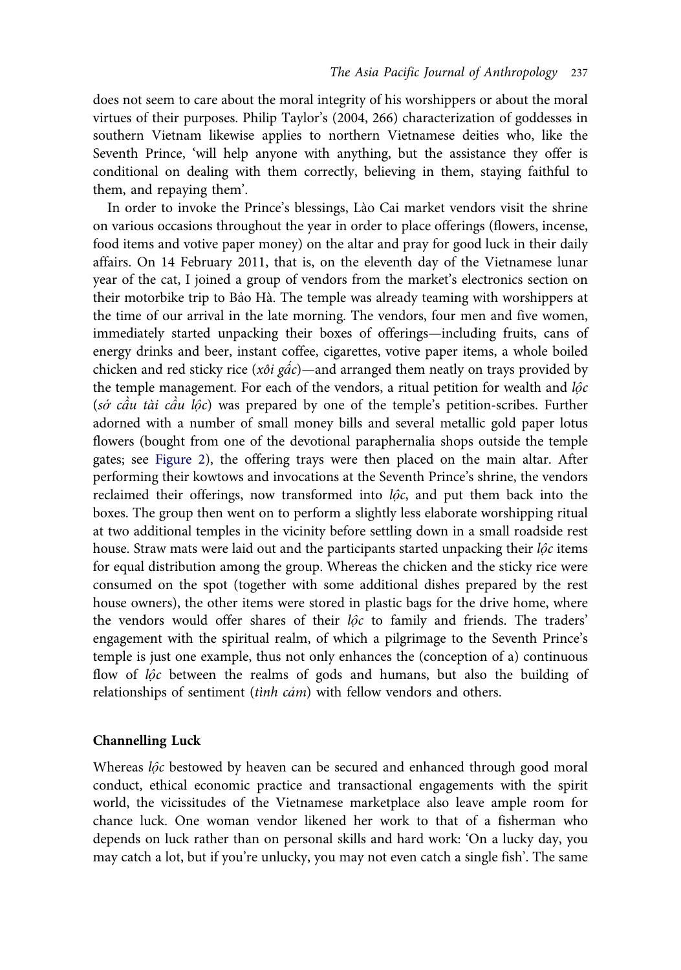does not seem to care about the moral integrity of his worshippers or about the moral virtues of their purposes. Philip Taylor's (2004, 266) characterization of goddesses in southern Vietnam likewise applies to northern Vietnamese deities who, like the Seventh Prince, 'will help anyone with anything, but the assistance they offer is conditional on dealing with them correctly, believing in them, staying faithful to them, and repaying them'.

In order to invoke the Prince's blessings, Lào Cai market vendors visit the shrine on various occasions throughout the year in order to place offerings (flowers, incense, food items and votive paper money) on the altar and pray for good luck in their daily affairs. On 14 February 2011, that is, on the eleventh day of the Vietnamese lunar year of the cat, I joined a group of vendors from the market's electronics section on their motorbike trip to Bảo Hà. The temple was already teaming with worshippers at the time of our arrival in the late morning. The vendors, four men and five women, immediately started unpacking their boxes of offerings—including fruits, cans of energy drinks and beer, instant coffee, cigarettes, votive paper items, a whole boiled chicken and red sticky rice (xôi gấc)—and arranged them neatly on trays provided by the temple management. For each of the vendors, a ritual petition for wealth and  $l\hat{p}c$ (sớ cầu tài cầu lộc) was prepared by one of the temple's petition-scribes. Further adorned with a number of small money bills and several metallic gold paper lotus flowers (bought from one of the devotional paraphernalia shops outside the temple gates; see [Figure 2\)](#page-13-0), the offering trays were then placed on the main altar. After performing their kowtows and invocations at the Seventh Prince's shrine, the vendors reclaimed their offerings, now transformed into  $l\hat{\varphi}c$ , and put them back into the boxes. The group then went on to perform a slightly less elaborate worshipping ritual at two additional temples in the vicinity before settling down in a small roadside rest house. Straw mats were laid out and the participants started unpacking their  $l\hat{\rho}c$  items for equal distribution among the group. Whereas the chicken and the sticky rice were consumed on the spot (together with some additional dishes prepared by the rest house owners), the other items were stored in plastic bags for the drive home, where the vendors would offer shares of their lộc to family and friends. The traders' engagement with the spiritual realm, of which a pilgrimage to the Seventh Prince's temple is just one example, thus not only enhances the (conception of a) continuous flow of  $l\hat{o}c$  between the realms of gods and humans, but also the building of relationships of sentiment (tinh cảm) with fellow vendors and others.

#### Channelling Luck

Whereas *lộc* bestowed by heaven can be secured and enhanced through good moral conduct, ethical economic practice and transactional engagements with the spirit world, the vicissitudes of the Vietnamese marketplace also leave ample room for chance luck. One woman vendor likened her work to that of a fisherman who depends on luck rather than on personal skills and hard work: 'On a lucky day, you may catch a lot, but if you're unlucky, you may not even catch a single fish'. The same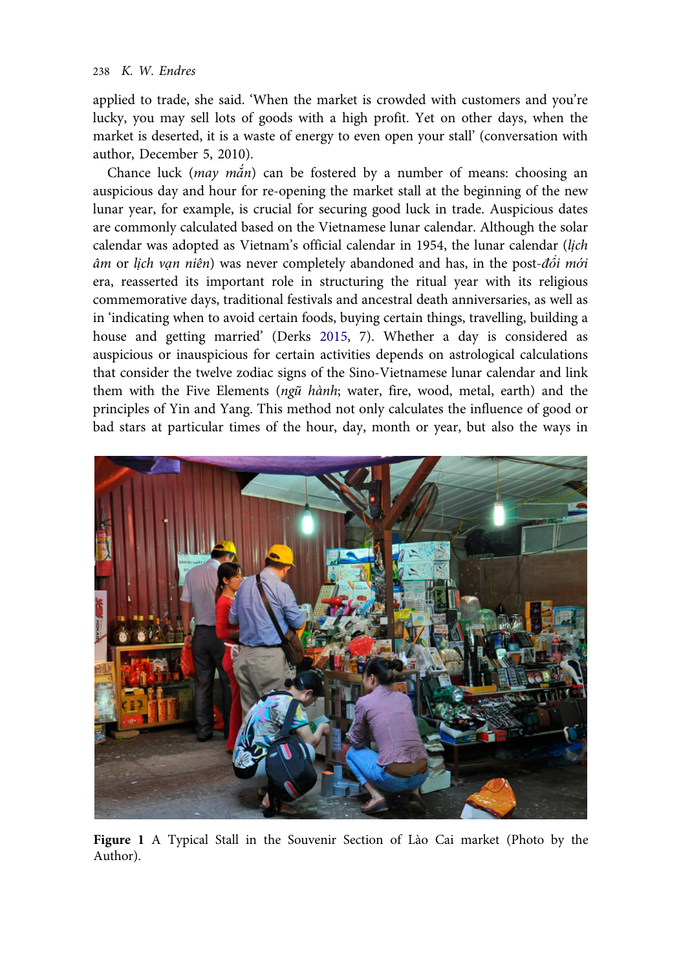<span id="page-12-0"></span>applied to trade, she said. 'When the market is crowded with customers and you're lucky, you may sell lots of goods with a high profit. Yet on other days, when the market is deserted, it is a waste of energy to even open your stall' (conversation with author, December 5, 2010).

Chance luck ( $may \nmin$ ) can be fostered by a number of means: choosing an auspicious day and hour for re-opening the market stall at the beginning of the new lunar year, for example, is crucial for securing good luck in trade. Auspicious dates are commonly calculated based on the Vietnamese lunar calendar. Although the solar calendar was adopted as Vietnam's official calendar in 1954, the lunar calendar (lịch âm or lịch vạn niên) was never completely abandoned and has, in the post-đổi mới era, reasserted its important role in structuring the ritual year with its religious commemorative days, traditional festivals and ancestral death anniversaries, as well as in 'indicating when to avoid certain foods, buying certain things, travelling, building a house and getting married' (Derks [2015,](#page-16-0) 7). Whether a day is considered as auspicious or inauspicious for certain activities depends on astrological calculations that consider the twelve zodiac signs of the Sino-Vietnamese lunar calendar and link them with the Five Elements (ngũ hành; water, fire, wood, metal, earth) and the principles of Yin and Yang. This method not only calculates the influence of good or bad stars at particular times of the hour, day, month or year, but also the ways in



Figure 1 A Typical Stall in the Souvenir Section of Lào Cai market (Photo by the Author).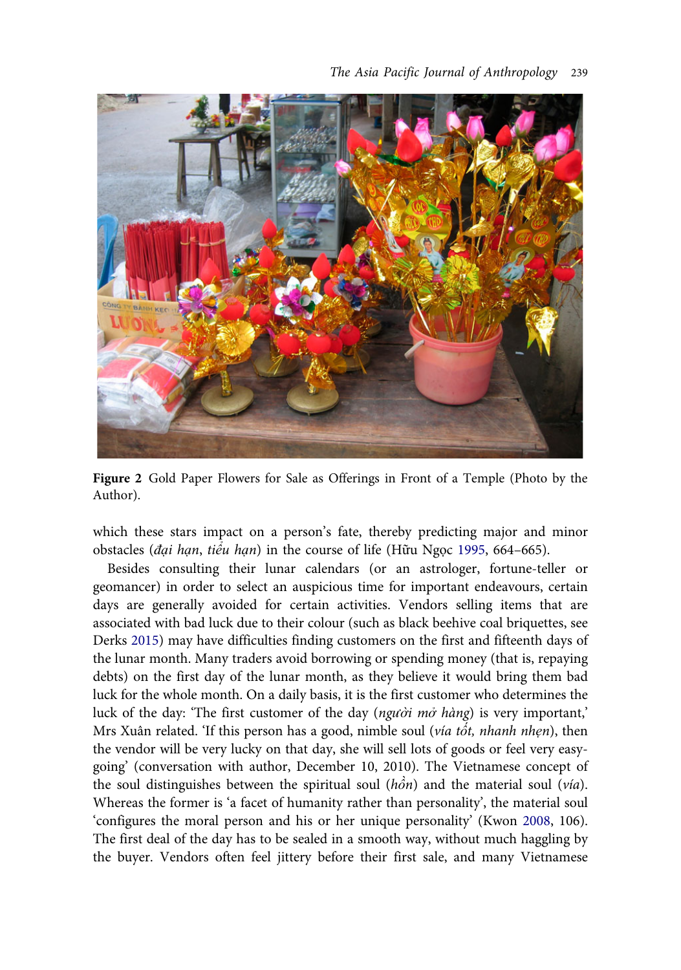<span id="page-13-0"></span>

Figure 2 Gold Paper Flowers for Sale as Offerings in Front of a Temple (Photo by the Author).

which these stars impact on a person's fate, thereby predicting major and minor obstacles (đại hạn, tiểu hạn) in the course of life (Hữu Ngọc [1995,](#page-17-0) 664–665).

Besides consulting their lunar calendars (or an astrologer, fortune-teller or geomancer) in order to select an auspicious time for important endeavours, certain days are generally avoided for certain activities. Vendors selling items that are associated with bad luck due to their colour (such as black beehive coal briquettes, see Derks [2015](#page-16-0)) may have difficulties finding customers on the first and fifteenth days of the lunar month. Many traders avoid borrowing or spending money (that is, repaying debts) on the first day of the lunar month, as they believe it would bring them bad luck for the whole month. On a daily basis, it is the first customer who determines the luck of the day: 'The first customer of the day (người mở hàng) is very important,' Mrs Xuân related. 'If this person has a good, nimble soul (vía tốt, nhanh nhẹn), then the vendor will be very lucky on that day, she will sell lots of goods or feel very easygoing' (conversation with author, December 10, 2010). The Vietnamese concept of the soul distinguishes between the spiritual soul ( $h\hat{\phi}n$ ) and the material soul ( $via$ ). Whereas the former is 'a facet of humanity rather than personality', the material soul 'configures the moral person and his or her unique personality' (Kwon [2008,](#page-17-0) 106). The first deal of the day has to be sealed in a smooth way, without much haggling by the buyer. Vendors often feel jittery before their first sale, and many Vietnamese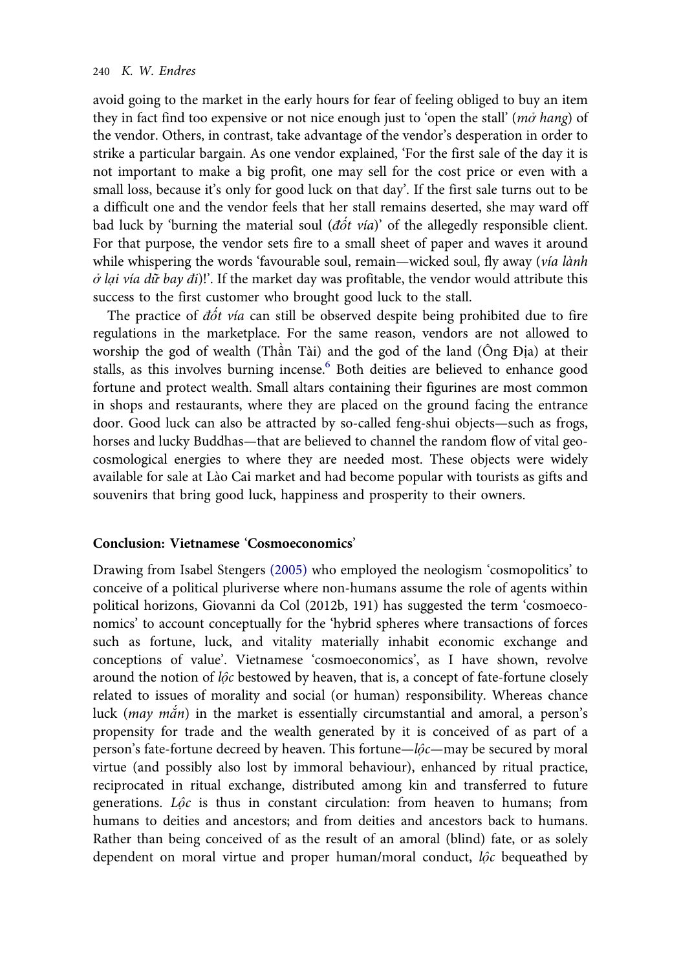avoid going to the market in the early hours for fear of feeling obliged to buy an item they in fact find too expensive or not nice enough just to 'open the stall' ( $m\dot{\sigma}$  hang) of the vendor. Others, in contrast, take advantage of the vendor's desperation in order to strike a particular bargain. As one vendor explained, 'For the first sale of the day it is not important to make a big profit, one may sell for the cost price or even with a small loss, because it's only for good luck on that day'. If the first sale turns out to be a difficult one and the vendor feels that her stall remains deserted, she may ward off bad luck by 'burning the material soul ( $d\acute{o}t$  vía)' of the allegedly responsible client. For that purpose, the vendor sets fire to a small sheet of paper and waves it around while whispering the words 'favourable soul, remain—wicked soul, fly away (vía lành  $\dot{\sigma}$  lại vía dữ bay đi)!'. If the market day was profitable, the vendor would attribute this success to the first customer who brought good luck to the stall.

The practice of  $d\acute{o}t$  vía can still be observed despite being prohibited due to fire regulations in the marketplace. For the same reason, vendors are not allowed to worship the god of wealth (Thần Tài) and the god of the land (Ông Địa) at their stalls, as this involves burning incense.<sup>[6](#page-16-0)</sup> Both deities are believed to enhance good fortune and protect wealth. Small altars containing their figurines are most common in shops and restaurants, where they are placed on the ground facing the entrance door. Good luck can also be attracted by so-called feng-shui objects—such as frogs, horses and lucky Buddhas—that are believed to channel the random flow of vital geocosmological energies to where they are needed most. These objects were widely available for sale at Lào Cai market and had become popular with tourists as gifts and souvenirs that bring good luck, happiness and prosperity to their owners.

#### Conclusion: Vietnamese 'Cosmoeconomics'

Drawing from Isabel Stengers [\(2005\)](#page-17-0) who employed the neologism 'cosmopolitics' to conceive of a political pluriverse where non-humans assume the role of agents within political horizons, Giovanni da Col (2012b, 191) has suggested the term 'cosmoeconomics' to account conceptually for the 'hybrid spheres where transactions of forces such as fortune, luck, and vitality materially inhabit economic exchange and conceptions of value'. Vietnamese 'cosmoeconomics', as I have shown, revolve around the notion of lộc bestowed by heaven, that is, a concept of fate-fortune closely related to issues of morality and social (or human) responsibility. Whereas chance luck (may mắn) in the market is essentially circumstantial and amoral, a person's propensity for trade and the wealth generated by it is conceived of as part of a person's fate-fortune decreed by heaven. This fortune—lộc—may be secured by moral virtue (and possibly also lost by immoral behaviour), enhanced by ritual practice, reciprocated in ritual exchange, distributed among kin and transferred to future generations. Lộc is thus in constant circulation: from heaven to humans; from humans to deities and ancestors; and from deities and ancestors back to humans. Rather than being conceived of as the result of an amoral (blind) fate, or as solely dependent on moral virtue and proper human/moral conduct, lộc bequeathed by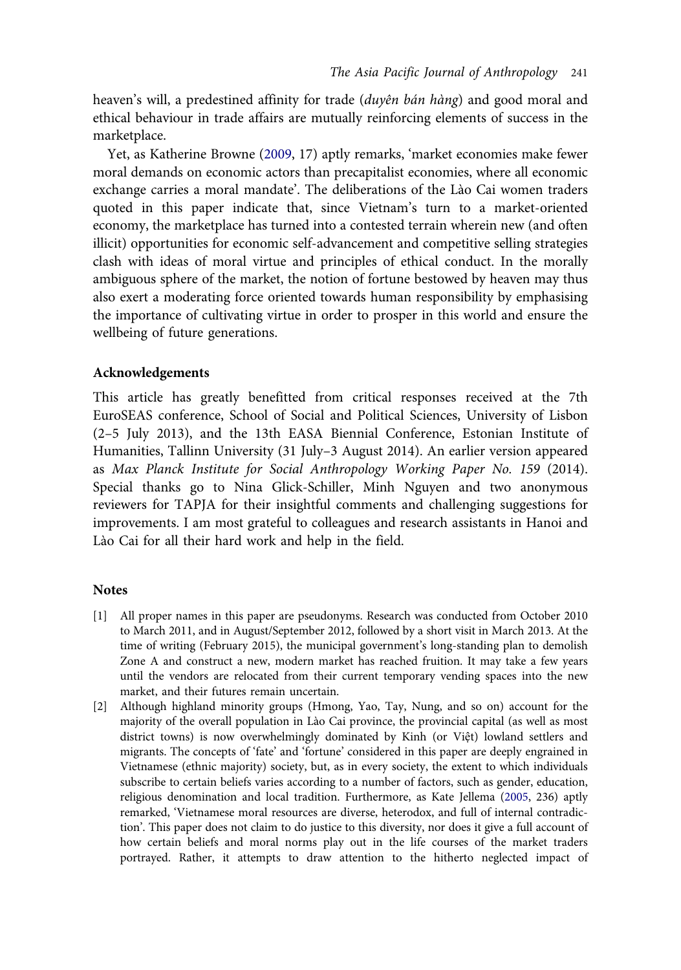<span id="page-15-0"></span>heaven's will, a predestined affinity for trade (duyên bán hàng) and good moral and ethical behaviour in trade affairs are mutually reinforcing elements of success in the marketplace.

Yet, as Katherine Browne [\(2009](#page-16-0), 17) aptly remarks, 'market economies make fewer moral demands on economic actors than precapitalist economies, where all economic exchange carries a moral mandate'. The deliberations of the Lào Cai women traders quoted in this paper indicate that, since Vietnam's turn to a market-oriented economy, the marketplace has turned into a contested terrain wherein new (and often illicit) opportunities for economic self-advancement and competitive selling strategies clash with ideas of moral virtue and principles of ethical conduct. In the morally ambiguous sphere of the market, the notion of fortune bestowed by heaven may thus also exert a moderating force oriented towards human responsibility by emphasising the importance of cultivating virtue in order to prosper in this world and ensure the wellbeing of future generations.

## Acknowledgements

This article has greatly benefitted from critical responses received at the 7th EuroSEAS conference, School of Social and Political Sciences, University of Lisbon (2–5 July 2013), and the 13th EASA Biennial Conference, Estonian Institute of Humanities, Tallinn University (31 July–3 August 2014). An earlier version appeared as Max Planck Institute for Social Anthropology Working Paper No. 159 (2014). Special thanks go to Nina Glick-Schiller, Minh Nguyen and two anonymous reviewers for TAPJA for their insightful comments and challenging suggestions for improvements. I am most grateful to colleagues and research assistants in Hanoi and Lào Cai for all their hard work and help in the field.

#### **Notes**

- [1] All proper names in this paper are pseudonyms. Research was conducted from October 2010 to March 2011, and in August/September 2012, followed by a short visit in March 2013. At the time of writing (February 2015), the municipal government's long-standing plan to demolish Zone A and construct a new, modern market has reached fruition. It may take a few years until the vendors are relocated from their current temporary vending spaces into the new market, and their futures remain uncertain.
- [2] Although highland minority groups (Hmong, Yao, Tay, Nung, and so on) account for the majority of the overall population in Lào Cai province, the provincial capital (as well as most district towns) is now overwhelmingly dominated by Kinh (or Việt) lowland settlers and migrants. The concepts of 'fate' and 'fortune' considered in this paper are deeply engrained in Vietnamese (ethnic majority) society, but, as in every society, the extent to which individuals subscribe to certain beliefs varies according to a number of factors, such as gender, education, religious denomination and local tradition. Furthermore, as Kate Jellema ([2005,](#page-17-0) 236) aptly remarked, 'Vietnamese moral resources are diverse, heterodox, and full of internal contradiction'. This paper does not claim to do justice to this diversity, nor does it give a full account of how certain beliefs and moral norms play out in the life courses of the market traders portrayed. Rather, it attempts to draw attention to the hitherto neglected impact of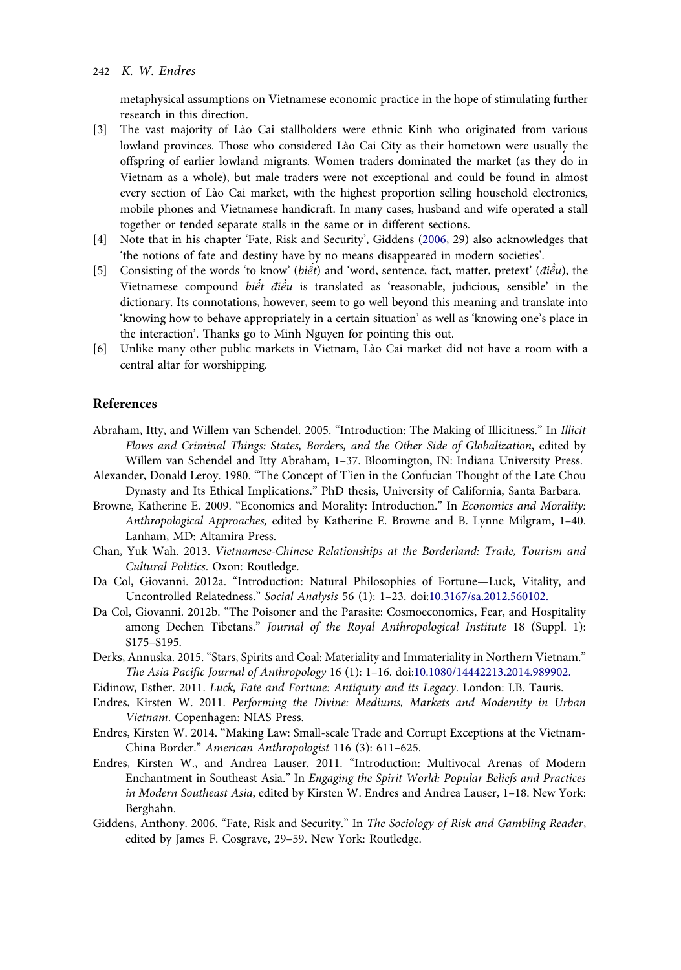<span id="page-16-0"></span>metaphysical assumptions on Vietnamese economic practice in the hope of stimulating further research in this direction.

- [3] The vast majority of Lào Cai stallholders were ethnic Kinh who originated from various lowland provinces. Those who considered Lào Cai City as their hometown were usually the offspring of earlier lowland migrants. Women traders dominated the market (as they do in Vietnam as a whole), but male traders were not exceptional and could be found in almost every section of Lào Cai market, with the highest proportion selling household electronics, mobile phones and Vietnamese handicraft. In many cases, husband and wife operated a stall together or tended separate stalls in the same or in different sections.
- [4] Note that in his chapter 'Fate, Risk and Security', Giddens (2006, 29) also acknowledges that 'the notions of fate and destiny have by no means disappeared in modern societies'.
- [5] Consisting of the words 'to know' (biết) and 'word, sentence, fact, matter, pretext' ( $d\hat{i}\hat{e}\hat{u}$ ), the Vietnamese compound *biết điều* is translated as 'reasonable, judicious, sensible' in the dictionary. Its connotations, however, seem to go well beyond this meaning and translate into 'knowing how to behave appropriately in a certain situation' as well as 'knowing one's place in the interaction'. Thanks go to Minh Nguyen for pointing this out.
- [6] Unlike many other public markets in Vietnam, Lào Cai market did not have a room with a central altar for worshipping.

#### References

- Abraham, Itty, and Willem van Schendel. 2005. "Introduction: The Making of Illicitness." In Illicit Flows and Criminal Things: States, Borders, and the Other Side of Globalization, edited by Willem van Schendel and Itty Abraham, 1–37. Bloomington, IN: Indiana University Press.
- Alexander, Donald Leroy. 1980. "The Concept of T'ien in the Confucian Thought of the Late Chou Dynasty and Its Ethical Implications." PhD thesis, University of California, Santa Barbara.
- Browne, Katherine E. 2009. "Economics and Morality: Introduction." In Economics and Morality: Anthropological Approaches, edited by Katherine E. Browne and B. Lynne Milgram, 1–40. Lanham, MD: Altamira Press.
- Chan, Yuk Wah. 2013. Vietnamese-Chinese Relationships at the Borderland: Trade, Tourism and Cultural Politics. Oxon: Routledge.
- Da Col, Giovanni. 2012a. "Introduction: Natural Philosophies of Fortune—Luck, Vitality, and Uncontrolled Relatedness." Social Analysis 56 (1): 1–23. doi:[10.3167/sa.2012.560102.](http://dx.doi.org/10.3167/sa.2012.560102.)
- Da Col, Giovanni. 2012b. "The Poisoner and the Parasite: Cosmoeconomics, Fear, and Hospitality among Dechen Tibetans." Journal of the Royal Anthropological Institute 18 (Suppl. 1): S175–S195.
- Derks, Annuska. 2015. "Stars, Spirits and Coal: Materiality and Immateriality in Northern Vietnam." The Asia Pacific Journal of Anthropology 16 (1): 1–16. doi:[10.1080/14442213.2014.989902.](http://dx.doi.org/10.1080/14442213.2014.989902.)
- Eidinow, Esther. 2011. Luck, Fate and Fortune: Antiquity and its Legacy. London: I.B. Tauris.
- Endres, Kirsten W. 2011. Performing the Divine: Mediums, Markets and Modernity in Urban Vietnam. Copenhagen: NIAS Press.
- Endres, Kirsten W. 2014. "Making Law: Small-scale Trade and Corrupt Exceptions at the Vietnam-China Border." American Anthropologist 116 (3): 611–625.
- Endres, Kirsten W., and Andrea Lauser. 2011. "Introduction: Multivocal Arenas of Modern Enchantment in Southeast Asia." In Engaging the Spirit World: Popular Beliefs and Practices in Modern Southeast Asia, edited by Kirsten W. Endres and Andrea Lauser, 1–18. New York: Berghahn.
- Giddens, Anthony. 2006. "Fate, Risk and Security." In The Sociology of Risk and Gambling Reader, edited by James F. Cosgrave, 29–59. New York: Routledge.